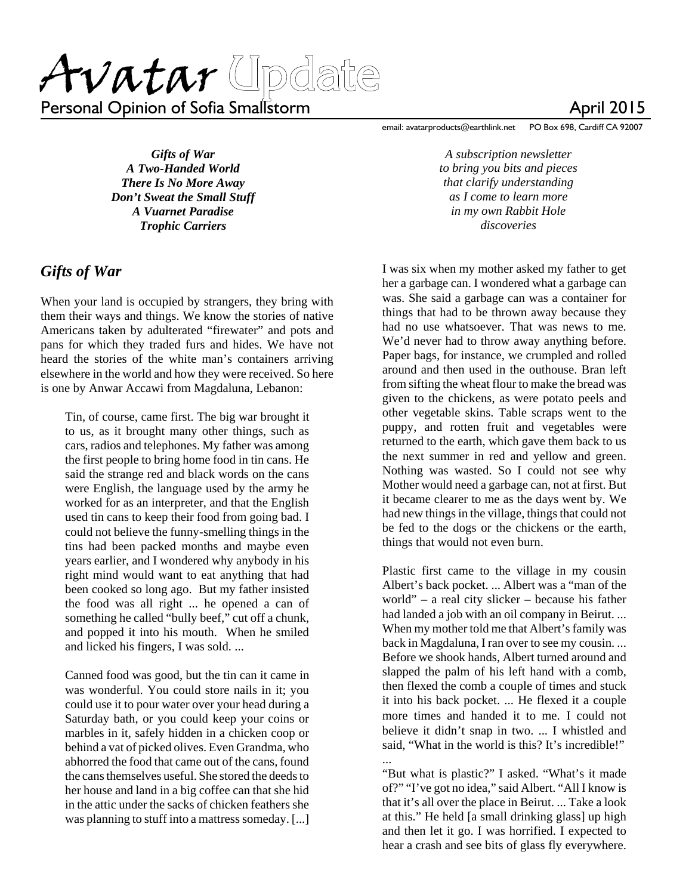Personal Opinion of Sofia Smallstorm

*Gifts of War A Two-Handed World There Is No More Away Don't Sweat the Small Stuff A Vuarnet Paradise Trophic Carriers*

#### *Gifts of War*

When your land is occupied by strangers, they bring with them their ways and things. We know the stories of native Americans taken by adulterated "firewater" and pots and pans for which they traded furs and hides. We have not heard the stories of the white man's containers arriving elsewhere in the world and how they were received. So here is one by Anwar Accawi from Magdaluna, Lebanon:

Tin, of course, came first. The big war brought it to us, as it brought many other things, such as cars, radios and telephones. My father was among the first people to bring home food in tin cans. He said the strange red and black words on the cans were English, the language used by the army he worked for as an interpreter, and that the English used tin cans to keep their food from going bad. I could not believe the funny-smelling things in the tins had been packed months and maybe even years earlier, and I wondered why anybody in his right mind would want to eat anything that had been cooked so long ago. But my father insisted the food was all right ... he opened a can of something he called "bully beef," cut off a chunk, and popped it into his mouth. When he smiled and licked his fingers, I was sold. ...

Canned food was good, but the tin can it came in was wonderful. You could store nails in it; you could use it to pour water over your head during a Saturday bath, or you could keep your coins or marbles in it, safely hidden in a chicken coop or behind a vat of picked olives. Even Grandma, who abhorred the food that came out of the cans, found the cans themselves useful. She stored the deeds to her house and land in a big coffee can that she hid in the attic under the sacks of chicken feathers she was planning to stuff into a mattress someday. [...] email: avatarproducts@earthlink.net PO Box 698, Cardiff CA 92007

*A subscription newsletter to bring you bits and pieces that clarify understanding as I come to learn more in my own Rabbit Hole discoveries*

I was six when my mother asked my father to get her a garbage can. I wondered what a garbage can was. She said a garbage can was a container for things that had to be thrown away because they had no use whatsoever. That was news to me. We'd never had to throw away anything before. Paper bags, for instance, we crumpled and rolled around and then used in the outhouse. Bran left from sifting the wheat flour to make the bread was given to the chickens, as were potato peels and other vegetable skins. Table scraps went to the puppy, and rotten fruit and vegetables were returned to the earth, which gave them back to us the next summer in red and yellow and green. Nothing was wasted. So I could not see why Mother would need a garbage can, not at first. But it became clearer to me as the days went by. We had new things in the village, things that could not be fed to the dogs or the chickens or the earth, things that would not even burn.

Plastic first came to the village in my cousin Albert's back pocket. ... Albert was a "man of the world" – a real city slicker – because his father had landed a job with an oil company in Beirut. ... When my mother told me that Albert's family was back in Magdaluna, I ran over to see my cousin. ... Before we shook hands, Albert turned around and slapped the palm of his left hand with a comb, then flexed the comb a couple of times and stuck it into his back pocket. ... He flexed it a couple more times and handed it to me. I could not believe it didn't snap in two. ... I whistled and said, "What in the world is this? It's incredible!" ...

"But what is plastic?" I asked. "What's it made of?" "I've got no idea," said Albert. "All I know is that it's all over the place in Beirut. ... Take a look at this." He held [a small drinking glass] up high and then let it go. I was horrified. I expected to hear a crash and see bits of glass fly everywhere.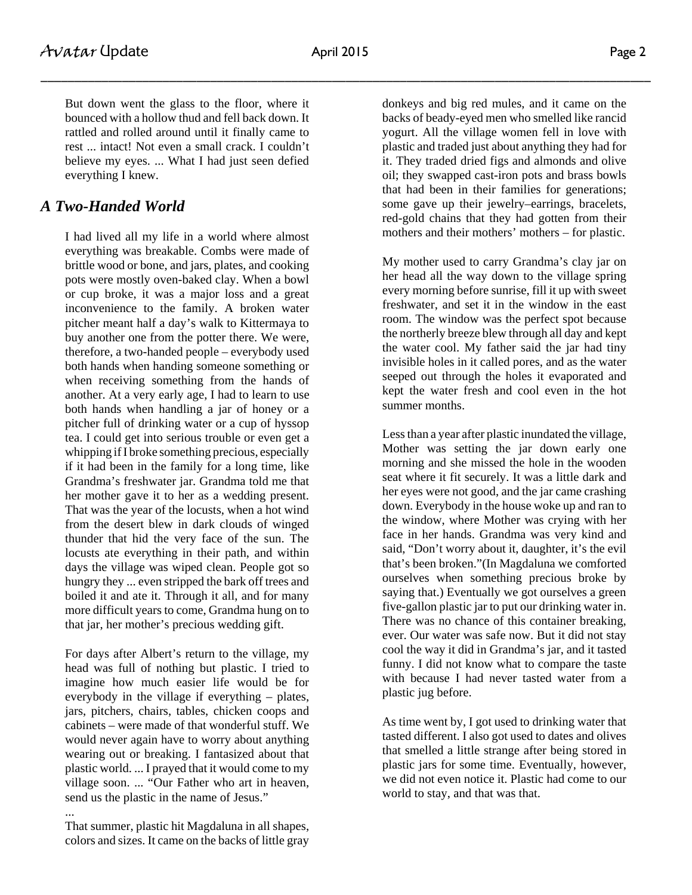But down went the glass to the floor, where it bounced with a hollow thud and fell back down. It rattled and rolled around until it finally came to rest ... intact! Not even a small crack. I couldn't believe my eyes. ... What I had just seen defied everything I knew.

## *A Two-Handed World*

I had lived all my life in a world where almost everything was breakable. Combs were made of brittle wood or bone, and jars, plates, and cooking pots were mostly oven-baked clay. When a bowl or cup broke, it was a major loss and a great inconvenience to the family. A broken water pitcher meant half a day's walk to Kittermaya to buy another one from the potter there. We were, therefore, a two-handed people – everybody used both hands when handing someone something or when receiving something from the hands of another. At a very early age, I had to learn to use both hands when handling a jar of honey or a pitcher full of drinking water or a cup of hyssop tea. I could get into serious trouble or even get a whipping if I broke something precious, especially if it had been in the family for a long time, like Grandma's freshwater jar. Grandma told me that her mother gave it to her as a wedding present. That was the year of the locusts, when a hot wind from the desert blew in dark clouds of winged thunder that hid the very face of the sun. The locusts ate everything in their path, and within days the village was wiped clean. People got so hungry they ... even stripped the bark off trees and boiled it and ate it. Through it all, and for many more difficult years to come, Grandma hung on to that jar, her mother's precious wedding gift.

For days after Albert's return to the village, my head was full of nothing but plastic. I tried to imagine how much easier life would be for everybody in the village if everything – plates, jars, pitchers, chairs, tables, chicken coops and cabinets – were made of that wonderful stuff. We would never again have to worry about anything wearing out or breaking. I fantasized about that plastic world. ... I prayed that it would come to my village soon. ... "Our Father who art in heaven, send us the plastic in the name of Jesus."

That summer, plastic hit Magdaluna in all shapes, colors and sizes. It came on the backs of little gray

...

donkeys and big red mules, and it came on the backs of beady-eyed men who smelled like rancid yogurt. All the village women fell in love with plastic and traded just about anything they had for it. They traded dried figs and almonds and olive oil; they swapped cast-iron pots and brass bowls that had been in their families for generations; some gave up their jewelry–earrings, bracelets, red-gold chains that they had gotten from their mothers and their mothers' mothers – for plastic.

My mother used to carry Grandma's clay jar on her head all the way down to the village spring every morning before sunrise, fill it up with sweet freshwater, and set it in the window in the east room. The window was the perfect spot because the northerly breeze blew through all day and kept the water cool. My father said the jar had tiny invisible holes in it called pores, and as the water seeped out through the holes it evaporated and kept the water fresh and cool even in the hot summer months.

Less than a year after plastic inundated the village, Mother was setting the jar down early one morning and she missed the hole in the wooden seat where it fit securely. It was a little dark and her eyes were not good, and the jar came crashing down. Everybody in the house woke up and ran to the window, where Mother was crying with her face in her hands. Grandma was very kind and said, "Don't worry about it, daughter, it's the evil that's been broken."(In Magdaluna we comforted ourselves when something precious broke by saying that.) Eventually we got ourselves a green five-gallon plastic jar to put our drinking water in. There was no chance of this container breaking, ever. Our water was safe now. But it did not stay cool the way it did in Grandma's jar, and it tasted funny. I did not know what to compare the taste with because I had never tasted water from a plastic jug before.

As time went by, I got used to drinking water that tasted different. I also got used to dates and olives that smelled a little strange after being stored in plastic jars for some time. Eventually, however, we did not even notice it. Plastic had come to our world to stay, and that was that.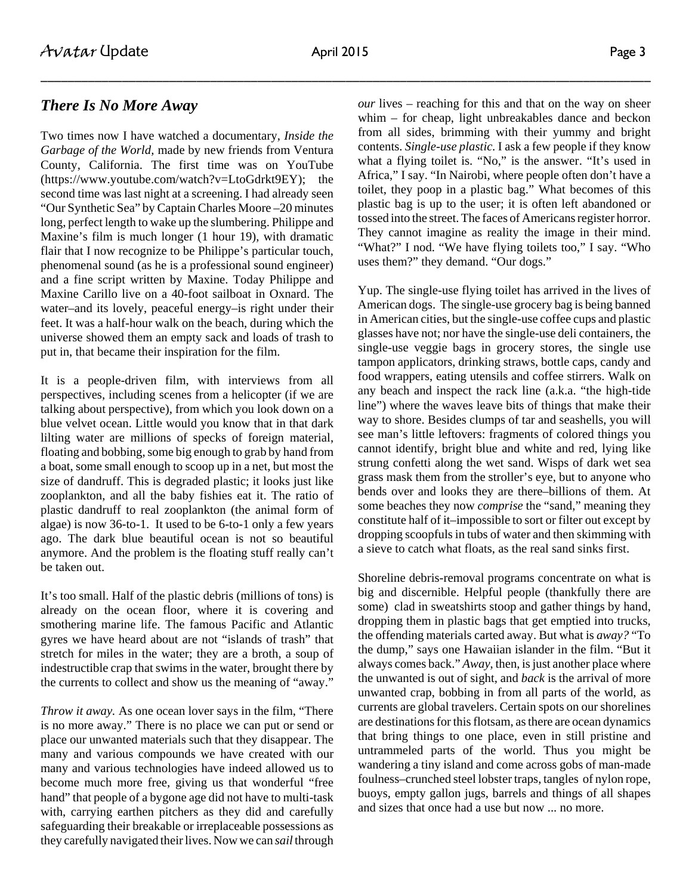### *There Is No More Away*

Two times now I have watched a documentary, *Inside the Garbage of the World,* made by new friends from Ventura County, California. The first time was on YouTube (https://www.youtube.com/watch?v=LtoGdrkt9EY); the second time was last night at a screening. I had already seen "Our Synthetic Sea" by Captain Charles Moore –20 minutes long, perfect length to wake up the slumbering. Philippe and Maxine's film is much longer (1 hour 19), with dramatic flair that I now recognize to be Philippe's particular touch, phenomenal sound (as he is a professional sound engineer) and a fine script written by Maxine. Today Philippe and Maxine Carillo live on a 40-foot sailboat in Oxnard. The water–and its lovely, peaceful energy–is right under their feet. It was a half-hour walk on the beach, during which the universe showed them an empty sack and loads of trash to put in, that became their inspiration for the film.

It is a people-driven film, with interviews from all perspectives, including scenes from a helicopter (if we are talking about perspective), from which you look down on a blue velvet ocean. Little would you know that in that dark lilting water are millions of specks of foreign material, floating and bobbing, some big enough to grab by hand from a boat, some small enough to scoop up in a net, but most the size of dandruff. This is degraded plastic; it looks just like zooplankton, and all the baby fishies eat it. The ratio of plastic dandruff to real zooplankton (the animal form of algae) is now 36-to-1. It used to be 6-to-1 only a few years ago. The dark blue beautiful ocean is not so beautiful anymore. And the problem is the floating stuff really can't be taken out.

It's too small. Half of the plastic debris (millions of tons) is already on the ocean floor, where it is covering and smothering marine life. The famous Pacific and Atlantic gyres we have heard about are not "islands of trash" that stretch for miles in the water; they are a broth, a soup of indestructible crap that swims in the water, brought there by the currents to collect and show us the meaning of "away."

*Throw it away.* As one ocean lover says in the film, "There is no more away." There is no place we can put or send or place our unwanted materials such that they disappear. The many and various compounds we have created with our many and various technologies have indeed allowed us to become much more free, giving us that wonderful "free hand" that people of a bygone age did not have to multi-task with, carrying earthen pitchers as they did and carefully safeguarding their breakable or irreplaceable possessions as they carefully navigated their lives. Now we can *sail* through

*our* lives – reaching for this and that on the way on sheer whim – for cheap, light unbreakables dance and beckon from all sides, brimming with their yummy and bright contents. *Single-use plastic.* I ask a few people if they know what a flying toilet is. "No," is the answer. "It's used in Africa," I say. "In Nairobi, where people often don't have a toilet, they poop in a plastic bag." What becomes of this plastic bag is up to the user; it is often left abandoned or tossed into the street. The faces of Americans register horror. They cannot imagine as reality the image in their mind. "What?" I nod. "We have flying toilets too," I say. "Who uses them?" they demand. "Our dogs."

Yup. The single-use flying toilet has arrived in the lives of American dogs. The single-use grocery bag is being banned in American cities, but the single-use coffee cups and plastic glasses have not; nor have the single-use deli containers, the single-use veggie bags in grocery stores, the single use tampon applicators, drinking straws, bottle caps, candy and food wrappers, eating utensils and coffee stirrers. Walk on any beach and inspect the rack line (a.k.a. "the high-tide line") where the waves leave bits of things that make their way to shore. Besides clumps of tar and seashells, you will see man's little leftovers: fragments of colored things you cannot identify, bright blue and white and red, lying like strung confetti along the wet sand. Wisps of dark wet sea grass mask them from the stroller's eye, but to anyone who bends over and looks they are there–billions of them. At some beaches they now *comprise* the "sand," meaning they constitute half of it–impossible to sort or filter out except by dropping scoopfuls in tubs of water and then skimming with a sieve to catch what floats, as the real sand sinks first.

Shoreline debris-removal programs concentrate on what is big and discernible. Helpful people (thankfully there are some) clad in sweatshirts stoop and gather things by hand, dropping them in plastic bags that get emptied into trucks, the offending materials carted away. But what is *away?* "To the dump," says one Hawaiian islander in the film. "But it always comes back." *Away*, then, is just another place where the unwanted is out of sight, and *back* is the arrival of more unwanted crap, bobbing in from all parts of the world, as currents are global travelers. Certain spots on our shorelines are destinations for this flotsam, as there are ocean dynamics that bring things to one place, even in still pristine and untrammeled parts of the world. Thus you might be wandering a tiny island and come across gobs of man-made foulness–crunched steel lobster traps, tangles of nylon rope, buoys, empty gallon jugs, barrels and things of all shapes and sizes that once had a use but now ... no more.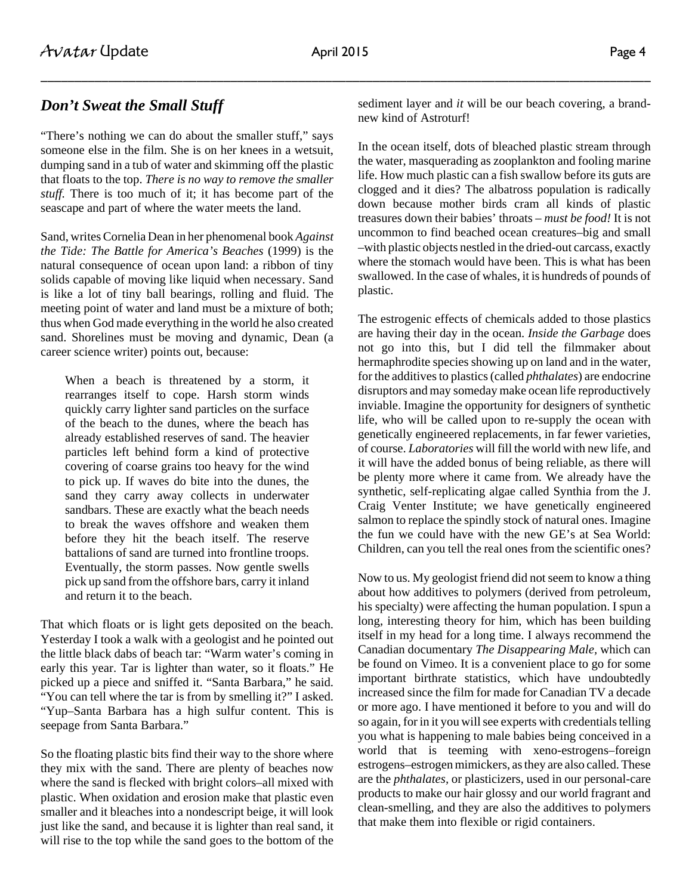#### *Don't Sweat the Small Stuff*

"There's nothing we can do about the smaller stuff," says someone else in the film. She is on her knees in a wetsuit, dumping sand in a tub of water and skimming off the plastic that floats to the top. *There is no way to remove the smaller stuff.* There is too much of it; it has become part of the seascape and part of where the water meets the land.

Sand, writes Cornelia Dean in her phenomenal book *Against the Tide: The Battle for America's Beaches* (1999) is the natural consequence of ocean upon land: a ribbon of tiny solids capable of moving like liquid when necessary. Sand is like a lot of tiny ball bearings, rolling and fluid. The meeting point of water and land must be a mixture of both; thus when God made everything in the world he also created sand. Shorelines must be moving and dynamic, Dean (a career science writer) points out, because:

When a beach is threatened by a storm, it rearranges itself to cope. Harsh storm winds quickly carry lighter sand particles on the surface of the beach to the dunes, where the beach has already established reserves of sand. The heavier particles left behind form a kind of protective covering of coarse grains too heavy for the wind to pick up. If waves do bite into the dunes, the sand they carry away collects in underwater sandbars. These are exactly what the beach needs to break the waves offshore and weaken them before they hit the beach itself. The reserve battalions of sand are turned into frontline troops. Eventually, the storm passes. Now gentle swells pick up sand from the offshore bars, carry it inland and return it to the beach.

That which floats or is light gets deposited on the beach. Yesterday I took a walk with a geologist and he pointed out the little black dabs of beach tar: "Warm water's coming in early this year. Tar is lighter than water, so it floats." He picked up a piece and sniffed it. "Santa Barbara," he said. "You can tell where the tar is from by smelling it?" I asked. "Yup–Santa Barbara has a high sulfur content. This is seepage from Santa Barbara."

So the floating plastic bits find their way to the shore where they mix with the sand. There are plenty of beaches now where the sand is flecked with bright colors–all mixed with plastic. When oxidation and erosion make that plastic even smaller and it bleaches into a nondescript beige, it will look just like the sand, and because it is lighter than real sand, it will rise to the top while the sand goes to the bottom of the sediment layer and *it* will be our beach covering, a brandnew kind of Astroturf!

In the ocean itself, dots of bleached plastic stream through the water, masquerading as zooplankton and fooling marine life. How much plastic can a fish swallow before its guts are clogged and it dies? The albatross population is radically down because mother birds cram all kinds of plastic treasures down their babies' throats – *must be food!* It is not uncommon to find beached ocean creatures–big and small –with plastic objects nestled in the dried-out carcass, exactly where the stomach would have been. This is what has been swallowed. In the case of whales, it is hundreds of pounds of plastic.

The estrogenic effects of chemicals added to those plastics are having their day in the ocean. *Inside the Garbage* does not go into this, but I did tell the filmmaker about hermaphrodite species showing up on land and in the water, for the additives to plastics (called *phthalates*) are endocrine disruptors and may someday make ocean life reproductively inviable. Imagine the opportunity for designers of synthetic life, who will be called upon to re-supply the ocean with genetically engineered replacements, in far fewer varieties, of course. *Laboratories* will fill the world with new life, and it will have the added bonus of being reliable, as there will be plenty more where it came from. We already have the synthetic, self-replicating algae called Synthia from the J. Craig Venter Institute; we have genetically engineered salmon to replace the spindly stock of natural ones. Imagine the fun we could have with the new GE's at Sea World: Children, can you tell the real ones from the scientific ones?

Now to us. My geologist friend did not seem to know a thing about how additives to polymers (derived from petroleum, his specialty) were affecting the human population. I spun a long, interesting theory for him, which has been building itself in my head for a long time. I always recommend the Canadian documentary *The Disappearing Male,* which can be found on Vimeo. It is a convenient place to go for some important birthrate statistics, which have undoubtedly increased since the film for made for Canadian TV a decade or more ago. I have mentioned it before to you and will do so again, for in it you will see experts with credentials telling you what is happening to male babies being conceived in a world that is teeming with xeno-estrogens–foreign estrogens–estrogen mimickers, as they are also called. These are the *phthalates,* or plasticizers, used in our personal-care products to make our hair glossy and our world fragrant and clean-smelling, and they are also the additives to polymers that make them into flexible or rigid containers.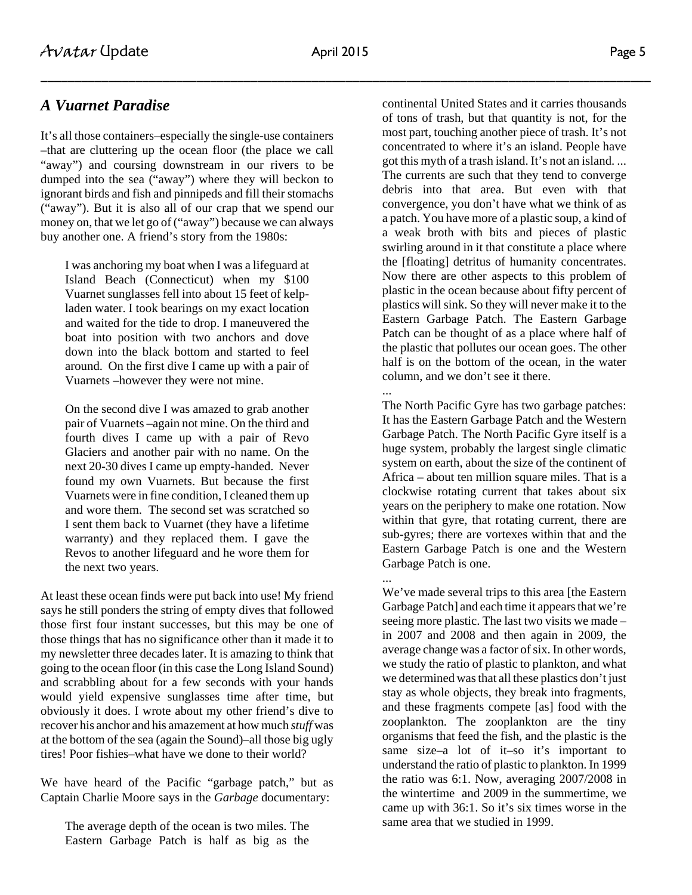### *A Vuarnet Paradise*

It's all those containers–especially the single-use containers –that are cluttering up the ocean floor (the place we call "away") and coursing downstream in our rivers to be dumped into the sea ("away") where they will beckon to ignorant birds and fish and pinnipeds and fill their stomachs ("away"). But it is also all of our crap that we spend our money on, that we let go of ("away") because we can always buy another one. A friend's story from the 1980s:

I was anchoring my boat when I was a lifeguard at Island Beach (Connecticut) when my \$100 Vuarnet sunglasses fell into about 15 feet of kelpladen water. I took bearings on my exact location and waited for the tide to drop. I maneuvered the boat into position with two anchors and dove down into the black bottom and started to feel around. On the first dive I came up with a pair of Vuarnets –however they were not mine.

On the second dive I was amazed to grab another pair of Vuarnets –again not mine. On the third and fourth dives I came up with a pair of Revo Glaciers and another pair with no name. On the next 20-30 dives I came up empty-handed. Never found my own Vuarnets. But because the first Vuarnets were in fine condition, I cleaned them up and wore them. The second set was scratched so I sent them back to Vuarnet (they have a lifetime warranty) and they replaced them. I gave the Revos to another lifeguard and he wore them for the next two years.

At least these ocean finds were put back into use! My friend says he still ponders the string of empty dives that followed those first four instant successes, but this may be one of those things that has no significance other than it made it to my newsletter three decades later. It is amazing to think that going to the ocean floor (in this case the Long Island Sound) and scrabbling about for a few seconds with your hands would yield expensive sunglasses time after time, but obviously it does. I wrote about my other friend's dive to recover his anchor and his amazement at how much *stuff* was at the bottom of the sea (again the Sound)–all those big ugly tires! Poor fishies–what have we done to their world?

We have heard of the Pacific "garbage patch," but as Captain Charlie Moore says in the *Garbage* documentary:

The average depth of the ocean is two miles. The Eastern Garbage Patch is half as big as the continental United States and it carries thousands of tons of trash, but that quantity is not, for the most part, touching another piece of trash. It's not concentrated to where it's an island. People have got this myth of a trash island. It's not an island. ... The currents are such that they tend to converge debris into that area. But even with that convergence, you don't have what we think of as a patch. You have more of a plastic soup, a kind of a weak broth with bits and pieces of plastic swirling around in it that constitute a place where the [floating] detritus of humanity concentrates. Now there are other aspects to this problem of plastic in the ocean because about fifty percent of plastics will sink. So they will never make it to the Eastern Garbage Patch. The Eastern Garbage Patch can be thought of as a place where half of the plastic that pollutes our ocean goes. The other half is on the bottom of the ocean, in the water column, and we don't see it there.

... The North Pacific Gyre has two garbage patches: It has the Eastern Garbage Patch and the Western Garbage Patch. The North Pacific Gyre itself is a huge system, probably the largest single climatic system on earth, about the size of the continent of Africa – about ten million square miles. That is a clockwise rotating current that takes about six years on the periphery to make one rotation. Now within that gyre, that rotating current, there are sub-gyres; there are vortexes within that and the Eastern Garbage Patch is one and the Western Garbage Patch is one.

... We've made several trips to this area [the Eastern Garbage Patch] and each time it appears that we're seeing more plastic. The last two visits we made – in 2007 and 2008 and then again in 2009, the average change was a factor of six. In other words, we study the ratio of plastic to plankton, and what we determined was that all these plastics don't just stay as whole objects, they break into fragments, and these fragments compete [as] food with the zooplankton. The zooplankton are the tiny organisms that feed the fish, and the plastic is the same size–a lot of it–so it's important to understand the ratio of plastic to plankton. In 1999 the ratio was 6:1. Now, averaging 2007/2008 in the wintertime and 2009 in the summertime, we came up with 36:1. So it's six times worse in the same area that we studied in 1999.